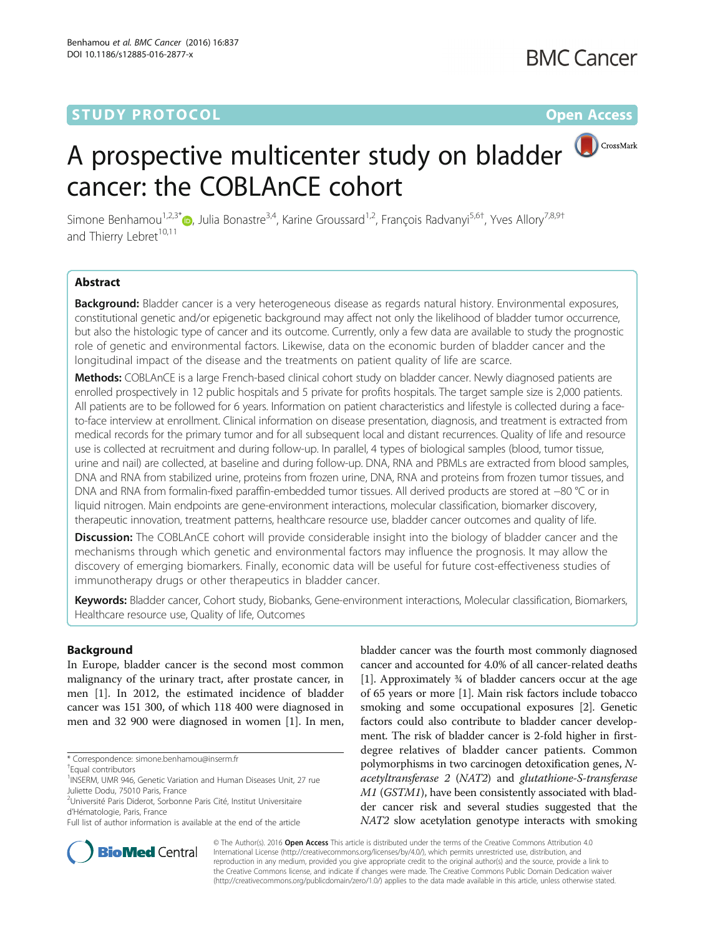## **STUDY PROTOCOL CONSUMING THE RESERVE ACCESS**

# A prospective multicenter study on bladder cancer: the COBLAnCE cohort

Simone Benhamou<sup>1[,](http://orcid.org/0000-0003-1162-9165)2,3\*</sup>®, Julia Bonastre<sup>3,4</sup>, Karine Groussard<sup>1,2</sup>, François Radvanyi<sup>5,6†</sup>, Yves Allory<sup>7,8,9†</sup> and Thierry Lebret<sup>10,11</sup>

## Abstract

Background: Bladder cancer is a very heterogeneous disease as regards natural history. Environmental exposures, constitutional genetic and/or epigenetic background may affect not only the likelihood of bladder tumor occurrence, but also the histologic type of cancer and its outcome. Currently, only a few data are available to study the prognostic role of genetic and environmental factors. Likewise, data on the economic burden of bladder cancer and the longitudinal impact of the disease and the treatments on patient quality of life are scarce.

Methods: COBLAnCE is a large French-based clinical cohort study on bladder cancer. Newly diagnosed patients are enrolled prospectively in 12 public hospitals and 5 private for profits hospitals. The target sample size is 2,000 patients. All patients are to be followed for 6 years. Information on patient characteristics and lifestyle is collected during a faceto-face interview at enrollment. Clinical information on disease presentation, diagnosis, and treatment is extracted from medical records for the primary tumor and for all subsequent local and distant recurrences. Quality of life and resource use is collected at recruitment and during follow-up. In parallel, 4 types of biological samples (blood, tumor tissue, urine and nail) are collected, at baseline and during follow-up. DNA, RNA and PBMLs are extracted from blood samples, DNA and RNA from stabilized urine, proteins from frozen urine, DNA, RNA and proteins from frozen tumor tissues, and DNA and RNA from formalin-fixed paraffin-embedded tumor tissues. All derived products are stored at −80 °C or in liquid nitrogen. Main endpoints are gene-environment interactions, molecular classification, biomarker discovery, therapeutic innovation, treatment patterns, healthcare resource use, bladder cancer outcomes and quality of life.

**Discussion:** The COBLAnCE cohort will provide considerable insight into the biology of bladder cancer and the mechanisms through which genetic and environmental factors may influence the prognosis. It may allow the discovery of emerging biomarkers. Finally, economic data will be useful for future cost-effectiveness studies of immunotherapy drugs or other therapeutics in bladder cancer.

Keywords: Bladder cancer, Cohort study, Biobanks, Gene-environment interactions, Molecular classification, Biomarkers, Healthcare resource use, Quality of life, Outcomes

### Background

In Europe, bladder cancer is the second most common malignancy of the urinary tract, after prostate cancer, in men [\[1](#page-6-0)]. In 2012, the estimated incidence of bladder cancer was 151 300, of which 118 400 were diagnosed in men and 32 900 were diagnosed in women [\[1](#page-6-0)]. In men,

bladder cancer was the fourth most commonly diagnosed cancer and accounted for 4.0% of all cancer-related deaths [[1\]](#page-6-0). Approximately ¾ of bladder cancers occur at the age of 65 years or more [\[1](#page-6-0)]. Main risk factors include tobacco smoking and some occupational exposures [[2\]](#page-6-0). Genetic factors could also contribute to bladder cancer development. The risk of bladder cancer is 2-fold higher in firstdegree relatives of bladder cancer patients. Common polymorphisms in two carcinogen detoxification genes, Nacetyltransferase 2 (NAT2) and glutathione-S-transferase M1 (GSTM1), have been consistently associated with bladder cancer risk and several studies suggested that the NAT2 slow acetylation genotype interacts with smoking



© The Author(s). 2016 Open Access This article is distributed under the terms of the Creative Commons Attribution 4.0 International License [\(http://creativecommons.org/licenses/by/4.0/](http://creativecommons.org/licenses/by/4.0/)), which permits unrestricted use, distribution, and reproduction in any medium, provided you give appropriate credit to the original author(s) and the source, provide a link to the Creative Commons license, and indicate if changes were made. The Creative Commons Public Domain Dedication waiver [\(http://creativecommons.org/publicdomain/zero/1.0/](http://creativecommons.org/publicdomain/zero/1.0/)) applies to the data made available in this article, unless otherwise stated.

<sup>\*</sup> Correspondence: [simone.benhamou@inserm.fr](mailto:simone.benhamou@inserm.fr) †

Equal contributors

<sup>&</sup>lt;sup>1</sup> INSERM, UMR 946, Genetic Variation and Human Diseases Unit, 27 rue Juliette Dodu, 75010 Paris, France

<sup>&</sup>lt;sup>2</sup>Université Paris Diderot, Sorbonne Paris Cité, Institut Universitaire d'Hématologie, Paris, France

Full list of author information is available at the end of the article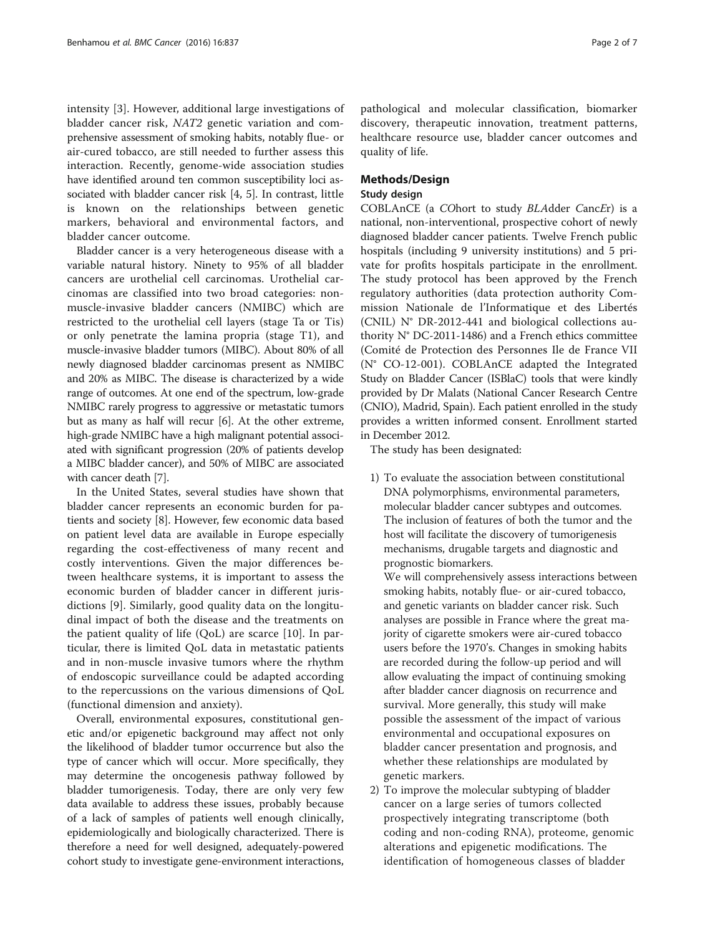intensity [[3\]](#page-6-0). However, additional large investigations of bladder cancer risk, NAT2 genetic variation and comprehensive assessment of smoking habits, notably flue- or air-cured tobacco, are still needed to further assess this interaction. Recently, genome-wide association studies have identified around ten common susceptibility loci associated with bladder cancer risk [[4](#page-6-0), [5\]](#page-6-0). In contrast, little is known on the relationships between genetic markers, behavioral and environmental factors, and bladder cancer outcome.

Bladder cancer is a very heterogeneous disease with a variable natural history. Ninety to 95% of all bladder cancers are urothelial cell carcinomas. Urothelial carcinomas are classified into two broad categories: nonmuscle-invasive bladder cancers (NMIBC) which are restricted to the urothelial cell layers (stage Ta or Tis) or only penetrate the lamina propria (stage T1), and muscle-invasive bladder tumors (MIBC). About 80% of all newly diagnosed bladder carcinomas present as NMIBC and 20% as MIBC. The disease is characterized by a wide range of outcomes. At one end of the spectrum, low-grade NMIBC rarely progress to aggressive or metastatic tumors but as many as half will recur [\[6](#page-6-0)]. At the other extreme, high-grade NMIBC have a high malignant potential associated with significant progression (20% of patients develop a MIBC bladder cancer), and 50% of MIBC are associated with cancer death [\[7\]](#page-6-0).

In the United States, several studies have shown that bladder cancer represents an economic burden for patients and society [[8\]](#page-6-0). However, few economic data based on patient level data are available in Europe especially regarding the cost-effectiveness of many recent and costly interventions. Given the major differences between healthcare systems, it is important to assess the economic burden of bladder cancer in different jurisdictions [[9\]](#page-6-0). Similarly, good quality data on the longitudinal impact of both the disease and the treatments on the patient quality of life (QoL) are scarce [\[10](#page-6-0)]. In particular, there is limited QoL data in metastatic patients and in non-muscle invasive tumors where the rhythm of endoscopic surveillance could be adapted according to the repercussions on the various dimensions of QoL (functional dimension and anxiety).

Overall, environmental exposures, constitutional genetic and/or epigenetic background may affect not only the likelihood of bladder tumor occurrence but also the type of cancer which will occur. More specifically, they may determine the oncogenesis pathway followed by bladder tumorigenesis. Today, there are only very few data available to address these issues, probably because of a lack of samples of patients well enough clinically, epidemiologically and biologically characterized. There is therefore a need for well designed, adequately-powered cohort study to investigate gene-environment interactions, pathological and molecular classification, biomarker discovery, therapeutic innovation, treatment patterns, healthcare resource use, bladder cancer outcomes and quality of life.

#### Methods/Design

### Study design

COBLAnCE (a COhort to study BLAdder CancEr) is a national, non-interventional, prospective cohort of newly diagnosed bladder cancer patients. Twelve French public hospitals (including 9 university institutions) and 5 private for profits hospitals participate in the enrollment. The study protocol has been approved by the French regulatory authorities (data protection authority Commission Nationale de l'Informatique et des Libertés (CNIL) N° DR-2012-441 and biological collections authority N° DC-2011-1486) and a French ethics committee (Comité de Protection des Personnes Ile de France VII (N° CO-12-001). COBLAnCE adapted the Integrated Study on Bladder Cancer (ISBlaC) tools that were kindly provided by Dr Malats (National Cancer Research Centre (CNIO), Madrid, Spain). Each patient enrolled in the study provides a written informed consent. Enrollment started in December 2012.

The study has been designated:

1) To evaluate the association between constitutional DNA polymorphisms, environmental parameters, molecular bladder cancer subtypes and outcomes. The inclusion of features of both the tumor and the host will facilitate the discovery of tumorigenesis mechanisms, drugable targets and diagnostic and prognostic biomarkers.

We will comprehensively assess interactions between smoking habits, notably flue- or air-cured tobacco, and genetic variants on bladder cancer risk. Such analyses are possible in France where the great majority of cigarette smokers were air-cured tobacco users before the 1970's. Changes in smoking habits are recorded during the follow-up period and will allow evaluating the impact of continuing smoking after bladder cancer diagnosis on recurrence and survival. More generally, this study will make possible the assessment of the impact of various environmental and occupational exposures on bladder cancer presentation and prognosis, and whether these relationships are modulated by genetic markers.

2) To improve the molecular subtyping of bladder cancer on a large series of tumors collected prospectively integrating transcriptome (both coding and non-coding RNA), proteome, genomic alterations and epigenetic modifications. The identification of homogeneous classes of bladder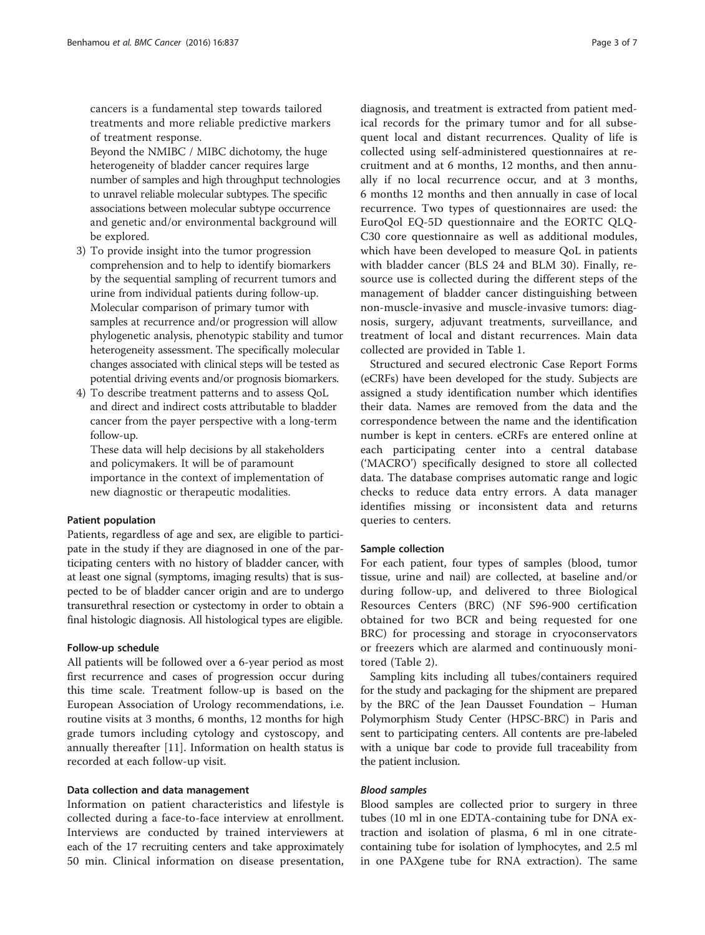cancers is a fundamental step towards tailored treatments and more reliable predictive markers of treatment response.

Beyond the NMIBC / MIBC dichotomy, the huge heterogeneity of bladder cancer requires large number of samples and high throughput technologies to unravel reliable molecular subtypes. The specific associations between molecular subtype occurrence and genetic and/or environmental background will be explored.

- 3) To provide insight into the tumor progression comprehension and to help to identify biomarkers by the sequential sampling of recurrent tumors and urine from individual patients during follow-up. Molecular comparison of primary tumor with samples at recurrence and/or progression will allow phylogenetic analysis, phenotypic stability and tumor heterogeneity assessment. The specifically molecular changes associated with clinical steps will be tested as potential driving events and/or prognosis biomarkers.
- 4) To describe treatment patterns and to assess QoL and direct and indirect costs attributable to bladder cancer from the payer perspective with a long-term follow-up.

These data will help decisions by all stakeholders and policymakers. It will be of paramount importance in the context of implementation of new diagnostic or therapeutic modalities.

#### Patient population

Patients, regardless of age and sex, are eligible to participate in the study if they are diagnosed in one of the participating centers with no history of bladder cancer, with at least one signal (symptoms, imaging results) that is suspected to be of bladder cancer origin and are to undergo transurethral resection or cystectomy in order to obtain a final histologic diagnosis. All histological types are eligible.

#### Follow-up schedule

All patients will be followed over a 6-year period as most first recurrence and cases of progression occur during this time scale. Treatment follow-up is based on the European Association of Urology recommendations, i.e. routine visits at 3 months, 6 months, 12 months for high grade tumors including cytology and cystoscopy, and annually thereafter [[11\]](#page-6-0). Information on health status is recorded at each follow-up visit.

#### Data collection and data management

Information on patient characteristics and lifestyle is collected during a face-to-face interview at enrollment. Interviews are conducted by trained interviewers at each of the 17 recruiting centers and take approximately 50 min. Clinical information on disease presentation,

diagnosis, and treatment is extracted from patient medical records for the primary tumor and for all subsequent local and distant recurrences. Quality of life is collected using self-administered questionnaires at recruitment and at 6 months, 12 months, and then annually if no local recurrence occur, and at 3 months, 6 months 12 months and then annually in case of local recurrence. Two types of questionnaires are used: the EuroQol EQ-5D questionnaire and the EORTC QLQ-C30 core questionnaire as well as additional modules, which have been developed to measure QoL in patients with bladder cancer (BLS 24 and BLM 30). Finally, resource use is collected during the different steps of the management of bladder cancer distinguishing between non-muscle-invasive and muscle-invasive tumors: diagnosis, surgery, adjuvant treatments, surveillance, and treatment of local and distant recurrences. Main data collected are provided in Table [1.](#page-3-0)

Structured and secured electronic Case Report Forms (eCRFs) have been developed for the study. Subjects are assigned a study identification number which identifies their data. Names are removed from the data and the correspondence between the name and the identification number is kept in centers. eCRFs are entered online at each participating center into a central database ('MACRO') specifically designed to store all collected data. The database comprises automatic range and logic checks to reduce data entry errors. A data manager identifies missing or inconsistent data and returns queries to centers.

#### Sample collection

For each patient, four types of samples (blood, tumor tissue, urine and nail) are collected, at baseline and/or during follow-up, and delivered to three Biological Resources Centers (BRC) (NF S96-900 certification obtained for two BCR and being requested for one BRC) for processing and storage in cryoconservators or freezers which are alarmed and continuously monitored (Table [2](#page-3-0)).

Sampling kits including all tubes/containers required for the study and packaging for the shipment are prepared by the BRC of the Jean Dausset Foundation – Human Polymorphism Study Center (HPSC-BRC) in Paris and sent to participating centers. All contents are pre-labeled with a unique bar code to provide full traceability from the patient inclusion.

#### Blood samples

Blood samples are collected prior to surgery in three tubes (10 ml in one EDTA-containing tube for DNA extraction and isolation of plasma, 6 ml in one citratecontaining tube for isolation of lymphocytes, and 2.5 ml in one PAXgene tube for RNA extraction). The same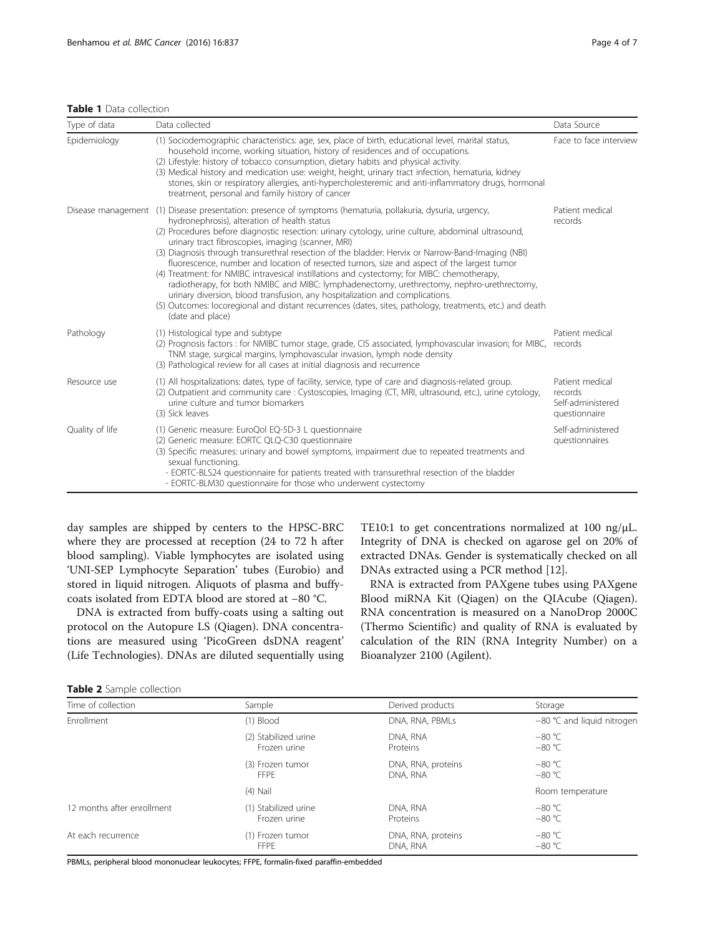<span id="page-3-0"></span>Table 1 Data collection

| Type of data    | Data collected                                                                                                                                                                                                                                                                                                                                                                                                                                                                                                                                                                                                                                                                                                                                                                                                                                                                                                                          | Data Source                                                      |
|-----------------|-----------------------------------------------------------------------------------------------------------------------------------------------------------------------------------------------------------------------------------------------------------------------------------------------------------------------------------------------------------------------------------------------------------------------------------------------------------------------------------------------------------------------------------------------------------------------------------------------------------------------------------------------------------------------------------------------------------------------------------------------------------------------------------------------------------------------------------------------------------------------------------------------------------------------------------------|------------------------------------------------------------------|
| Epidemiology    | (1) Sociodemographic characteristics: age, sex, place of birth, educational level, marital status,<br>household income, working situation, history of residences and of occupations.<br>(2) Lifestyle: history of tobacco consumption, dietary habits and physical activity.<br>(3) Medical history and medication use: weight, height, urinary tract infection, hematuria, kidney<br>stones, skin or respiratory allergies, anti-hypercholesteremic and anti-inflammatory drugs, hormonal<br>treatment, personal and family history of cancer                                                                                                                                                                                                                                                                                                                                                                                          | Face to face interview                                           |
|                 | Disease management (1) Disease presentation: presence of symptoms (hematuria, pollakuria, dysuria, urgency,<br>hydronephrosis), alteration of health status<br>(2) Procedures before diagnostic resection: urinary cytology, urine culture, abdominal ultrasound,<br>urinary tract fibroscopies, imaging (scanner, MRI)<br>(3) Diagnosis through transurethral resection of the bladder: Hervix or Narrow-Band-Imaging (NBI)<br>fluorescence, number and location of resected tumors, size and aspect of the largest tumor<br>(4) Treatment: for NMIBC intravesical instillations and cystectomy; for MIBC: chemotherapy,<br>radiotherapy, for both NMIBC and MIBC: lymphadenectomy, urethrectomy, nephro-urethrectomy,<br>urinary diversion, blood transfusion, any hospitalization and complications.<br>(5) Outcomes: locoregional and distant recurrences (dates, sites, pathology, treatments, etc.) and death<br>(date and place) | Patient medical<br>records                                       |
| Pathology       | (1) Histological type and subtype<br>(2) Prognosis factors : for NMIBC tumor stage, grade, CIS associated, lymphovascular invasion; for MIBC,<br>TNM stage, surgical margins, lymphovascular invasion, lymph node density<br>(3) Pathological review for all cases at initial diagnosis and recurrence                                                                                                                                                                                                                                                                                                                                                                                                                                                                                                                                                                                                                                  | Patient medical<br>records                                       |
| Resource use    | (1) All hospitalizations: dates, type of facility, service, type of care and diagnosis-related group.<br>(2) Outpatient and community care : Cystoscopies, Imaging (CT, MRI, ultrasound, etc.), urine cytology,<br>urine culture and tumor biomarkers<br>(3) Sick leaves                                                                                                                                                                                                                                                                                                                                                                                                                                                                                                                                                                                                                                                                | Patient medical<br>records<br>Self-administered<br>questionnaire |
| Quality of life | (1) Generic measure: EuroQol EQ-5D-3 L questionnaire<br>(2) Generic measure: EORTC QLQ-C30 questionnaire<br>(3) Specific measures: urinary and bowel symptoms, impairment due to repeated treatments and<br>sexual functioning.<br>- EORTC-BLS24 questionnaire for patients treated with transurethral resection of the bladder<br>- EORTC-BLM30 questionnaire for those who underwent cystectomy                                                                                                                                                                                                                                                                                                                                                                                                                                                                                                                                       | Self-administered<br>questionnaires                              |

day samples are shipped by centers to the HPSC-BRC where they are processed at reception (24 to 72 h after blood sampling). Viable lymphocytes are isolated using 'UNI-SEP Lymphocyte Separation' tubes (Eurobio) and stored in liquid nitrogen. Aliquots of plasma and buffycoats isolated from EDTA blood are stored at −80 °C.

DNA is extracted from buffy-coats using a salting out protocol on the Autopure LS (Qiagen). DNA concentrations are measured using 'PicoGreen dsDNA reagent' (Life Technologies). DNAs are diluted sequentially using TE10:1 to get concentrations normalized at 100 ng/μL. Integrity of DNA is checked on agarose gel on 20% of extracted DNAs. Gender is systematically checked on all DNAs extracted using a PCR method [\[12](#page-6-0)].

RNA is extracted from PAXgene tubes using PAXgene Blood miRNA Kit (Qiagen) on the QIAcube (Qiagen). RNA concentration is measured on a NanoDrop 2000C (Thermo Scientific) and quality of RNA is evaluated by calculation of the RIN (RNA Integrity Number) on a Bioanalyzer 2100 (Agilent).

Table 2 Sample collection

| Time of collection         | Sample               | Derived products   | Storage                      |
|----------------------------|----------------------|--------------------|------------------------------|
| Enrollment                 | $(1)$ Blood          | DNA, RNA, PBMLs    | $-80$ °C and liquid nitrogen |
|                            | (2) Stabilized urine | DNA, RNA           | $-80 °C$                     |
|                            | Frozen urine         | Proteins           | $-80 °C$                     |
|                            | (3) Frozen tumor     | DNA, RNA, proteins | $-80 °C$                     |
|                            | <b>FFPE</b>          | DNA, RNA           | $-80 °C$                     |
|                            | $(4)$ Nail           |                    | Room temperature             |
| 12 months after enrollment | (1) Stabilized urine | DNA, RNA           | $-80 °C$                     |
|                            | Frozen urine         | Proteins           | $-80 °C$                     |
| At each recurrence         | (1) Frozen tumor     | DNA, RNA, proteins | $-80 °C$                     |
|                            | <b>FFPE</b>          | DNA, RNA           | $-80 °C$                     |

PBMLs, peripheral blood mononuclear leukocytes; FFPE, formalin-fixed paraffin-embedded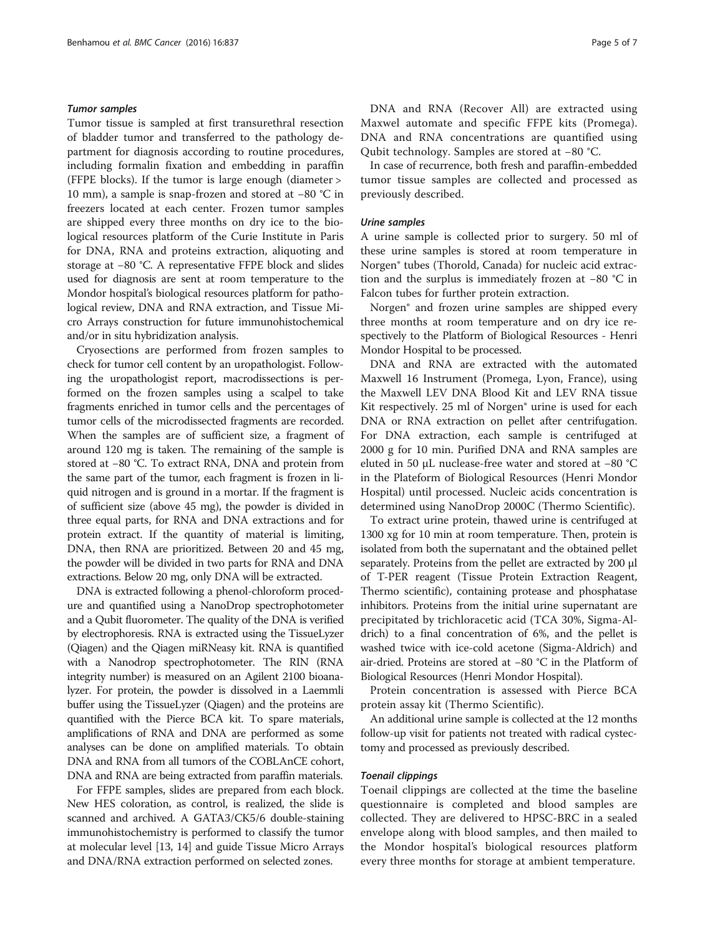#### Tumor samples

Tumor tissue is sampled at first transurethral resection of bladder tumor and transferred to the pathology department for diagnosis according to routine procedures, including formalin fixation and embedding in paraffin (FFPE blocks). If the tumor is large enough (diameter > 10 mm), a sample is snap-frozen and stored at −80 °C in freezers located at each center. Frozen tumor samples are shipped every three months on dry ice to the biological resources platform of the Curie Institute in Paris for DNA, RNA and proteins extraction, aliquoting and storage at −80 °C. A representative FFPE block and slides used for diagnosis are sent at room temperature to the Mondor hospital's biological resources platform for pathological review, DNA and RNA extraction, and Tissue Micro Arrays construction for future immunohistochemical and/or in situ hybridization analysis.

Cryosections are performed from frozen samples to check for tumor cell content by an uropathologist. Following the uropathologist report, macrodissections is performed on the frozen samples using a scalpel to take fragments enriched in tumor cells and the percentages of tumor cells of the microdissected fragments are recorded. When the samples are of sufficient size, a fragment of around 120 mg is taken. The remaining of the sample is stored at −80 °C. To extract RNA, DNA and protein from the same part of the tumor, each fragment is frozen in liquid nitrogen and is ground in a mortar. If the fragment is of sufficient size (above 45 mg), the powder is divided in three equal parts, for RNA and DNA extractions and for protein extract. If the quantity of material is limiting, DNA, then RNA are prioritized. Between 20 and 45 mg, the powder will be divided in two parts for RNA and DNA extractions. Below 20 mg, only DNA will be extracted.

DNA is extracted following a phenol-chloroform procedure and quantified using a NanoDrop spectrophotometer and a Qubit fluorometer. The quality of the DNA is verified by electrophoresis. RNA is extracted using the TissueLyzer (Qiagen) and the Qiagen miRNeasy kit. RNA is quantified with a Nanodrop spectrophotometer. The RIN (RNA integrity number) is measured on an Agilent 2100 bioanalyzer. For protein, the powder is dissolved in a Laemmli buffer using the TissueLyzer (Qiagen) and the proteins are quantified with the Pierce BCA kit. To spare materials, amplifications of RNA and DNA are performed as some analyses can be done on amplified materials. To obtain DNA and RNA from all tumors of the COBLAnCE cohort, DNA and RNA are being extracted from paraffin materials.

For FFPE samples, slides are prepared from each block. New HES coloration, as control, is realized, the slide is scanned and archived. A GATA3/CK5/6 double-staining immunohistochemistry is performed to classify the tumor at molecular level [[13](#page-6-0), [14](#page-6-0)] and guide Tissue Micro Arrays and DNA/RNA extraction performed on selected zones.

DNA and RNA (Recover All) are extracted using Maxwel automate and specific FFPE kits (Promega). DNA and RNA concentrations are quantified using Qubit technology. Samples are stored at −80 °C.

In case of recurrence, both fresh and paraffin-embedded tumor tissue samples are collected and processed as previously described.

#### Urine samples

A urine sample is collected prior to surgery. 50 ml of these urine samples is stored at room temperature in Norgen® tubes (Thorold, Canada) for nucleic acid extraction and the surplus is immediately frozen at −80 °C in Falcon tubes for further protein extraction.

Norgen® and frozen urine samples are shipped every three months at room temperature and on dry ice respectively to the Platform of Biological Resources - Henri Mondor Hospital to be processed.

DNA and RNA are extracted with the automated Maxwell 16 Instrument (Promega, Lyon, France), using the Maxwell LEV DNA Blood Kit and LEV RNA tissue Kit respectively. 25 ml of Norgen® urine is used for each DNA or RNA extraction on pellet after centrifugation. For DNA extraction, each sample is centrifuged at 2000 g for 10 min. Purified DNA and RNA samples are eluted in 50 μL nuclease-free water and stored at −80 °C in the Plateform of Biological Resources (Henri Mondor Hospital) until processed. Nucleic acids concentration is determined using NanoDrop 2000C (Thermo Scientific).

To extract urine protein, thawed urine is centrifuged at 1300 xg for 10 min at room temperature. Then, protein is isolated from both the supernatant and the obtained pellet separately. Proteins from the pellet are extracted by 200 μl of T-PER reagent (Tissue Protein Extraction Reagent, Thermo scientific), containing protease and phosphatase inhibitors. Proteins from the initial urine supernatant are precipitated by trichloracetic acid (TCA 30%, Sigma-Aldrich) to a final concentration of 6%, and the pellet is washed twice with ice-cold acetone (Sigma-Aldrich) and air-dried. Proteins are stored at −80 °C in the Platform of Biological Resources (Henri Mondor Hospital).

Protein concentration is assessed with Pierce BCA protein assay kit (Thermo Scientific).

An additional urine sample is collected at the 12 months follow-up visit for patients not treated with radical cystectomy and processed as previously described.

#### Toenail clippings

Toenail clippings are collected at the time the baseline questionnaire is completed and blood samples are collected. They are delivered to HPSC-BRC in a sealed envelope along with blood samples, and then mailed to the Mondor hospital's biological resources platform every three months for storage at ambient temperature.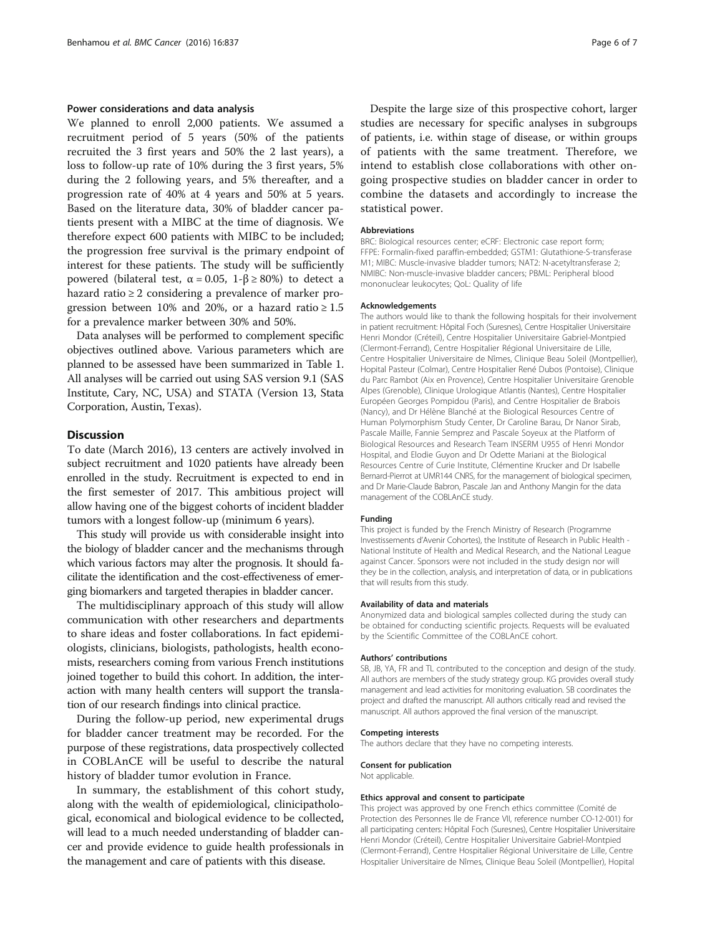#### Power considerations and data analysis

We planned to enroll 2,000 patients. We assumed a recruitment period of 5 years (50% of the patients recruited the 3 first years and 50% the 2 last years), a loss to follow-up rate of 10% during the 3 first years, 5% during the 2 following years, and 5% thereafter, and a progression rate of 40% at 4 years and 50% at 5 years. Based on the literature data, 30% of bladder cancer patients present with a MIBC at the time of diagnosis. We therefore expect 600 patients with MIBC to be included; the progression free survival is the primary endpoint of interest for these patients. The study will be sufficiently powered (bilateral test, α = 0.05, 1-β ≥ 80%) to detect a hazard ratio ≥ 2 considering a prevalence of marker progression between 10% and 20%, or a hazard ratio  $\geq 1.5$ for a prevalence marker between 30% and 50%.

Data analyses will be performed to complement specific objectives outlined above. Various parameters which are planned to be assessed have been summarized in Table [1](#page-3-0). All analyses will be carried out using SAS version 9.1 (SAS Institute, Cary, NC, USA) and STATA (Version 13, Stata Corporation, Austin, Texas).

#### **Discussion**

To date (March 2016), 13 centers are actively involved in subject recruitment and 1020 patients have already been enrolled in the study. Recruitment is expected to end in the first semester of 2017. This ambitious project will allow having one of the biggest cohorts of incident bladder tumors with a longest follow-up (minimum 6 years).

This study will provide us with considerable insight into the biology of bladder cancer and the mechanisms through which various factors may alter the prognosis. It should facilitate the identification and the cost-effectiveness of emerging biomarkers and targeted therapies in bladder cancer.

The multidisciplinary approach of this study will allow communication with other researchers and departments to share ideas and foster collaborations. In fact epidemiologists, clinicians, biologists, pathologists, health economists, researchers coming from various French institutions joined together to build this cohort. In addition, the interaction with many health centers will support the translation of our research findings into clinical practice.

During the follow-up period, new experimental drugs for bladder cancer treatment may be recorded. For the purpose of these registrations, data prospectively collected in COBLAnCE will be useful to describe the natural history of bladder tumor evolution in France.

In summary, the establishment of this cohort study, along with the wealth of epidemiological, clinicipathological, economical and biological evidence to be collected, will lead to a much needed understanding of bladder cancer and provide evidence to guide health professionals in the management and care of patients with this disease.

Despite the large size of this prospective cohort, larger studies are necessary for specific analyses in subgroups of patients, i.e. within stage of disease, or within groups of patients with the same treatment. Therefore, we intend to establish close collaborations with other ongoing prospective studies on bladder cancer in order to combine the datasets and accordingly to increase the statistical power.

#### Abbreviations

BRC: Biological resources center; eCRF: Electronic case report form; FFPE: Formalin-fixed paraffin-embedded; GSTM1: Glutathione-S-transferase M1; MIBC: Muscle-invasive bladder tumors; NAT2: N-acetyltransferase 2; NMIBC: Non-muscle-invasive bladder cancers; PBML: Peripheral blood mononuclear leukocytes; QoL: Quality of life

#### Acknowledgements

The authors would like to thank the following hospitals for their involvement in patient recruitment: Hôpital Foch (Suresnes), Centre Hospitalier Universitaire Henri Mondor (Créteil), Centre Hospitalier Universitaire Gabriel-Montpied (Clermont-Ferrand), Centre Hospitalier Régional Universitaire de Lille, Centre Hospitalier Universitaire de Nîmes, Clinique Beau Soleil (Montpellier), Hopital Pasteur (Colmar), Centre Hospitalier René Dubos (Pontoise), Clinique du Parc Rambot (Aix en Provence), Centre Hospitalier Universitaire Grenoble Alpes (Grenoble), Clinique Urologique Atlantis (Nantes), Centre Hospitalier Européen Georges Pompidou (Paris), and Centre Hospitalier de Brabois (Nancy), and Dr Hélène Blanché at the Biological Resources Centre of Human Polymorphism Study Center, Dr Caroline Barau, Dr Nanor Sirab, Pascale Maille, Fannie Semprez and Pascale Soyeux at the Platform of Biological Resources and Research Team INSERM U955 of Henri Mondor Hospital, and Elodie Guyon and Dr Odette Mariani at the Biological Resources Centre of Curie Institute, Clémentine Krucker and Dr Isabelle Bernard-Pierrot at UMR144 CNRS, for the management of biological specimen, and Dr Marie-Claude Babron, Pascale Jan and Anthony Mangin for the data management of the COBLAnCE study.

#### Funding

This project is funded by the French Ministry of Research (Programme Investissements d'Avenir Cohortes), the Institute of Research in Public Health - National Institute of Health and Medical Research, and the National League against Cancer. Sponsors were not included in the study design nor will they be in the collection, analysis, and interpretation of data, or in publications that will results from this study.

#### Availability of data and materials

Anonymized data and biological samples collected during the study can be obtained for conducting scientific projects. Requests will be evaluated by the Scientific Committee of the COBLAnCE cohort.

#### Authors' contributions

SB, JB, YA, FR and TL contributed to the conception and design of the study. All authors are members of the study strategy group. KG provides overall study management and lead activities for monitoring evaluation. SB coordinates the project and drafted the manuscript. All authors critically read and revised the manuscript. All authors approved the final version of the manuscript.

#### Competing interests

The authors declare that they have no competing interests.

#### Consent for publication

Not applicable.

#### Ethics approval and consent to participate

This project was approved by one French ethics committee (Comité de Protection des Personnes Ile de France VII, reference number CO-12-001) for all participating centers: Hôpital Foch (Suresnes), Centre Hospitalier Universitaire Henri Mondor (Créteil), Centre Hospitalier Universitaire Gabriel-Montpied (Clermont-Ferrand), Centre Hospitalier Régional Universitaire de Lille, Centre Hospitalier Universitaire de Nîmes, Clinique Beau Soleil (Montpellier), Hopital